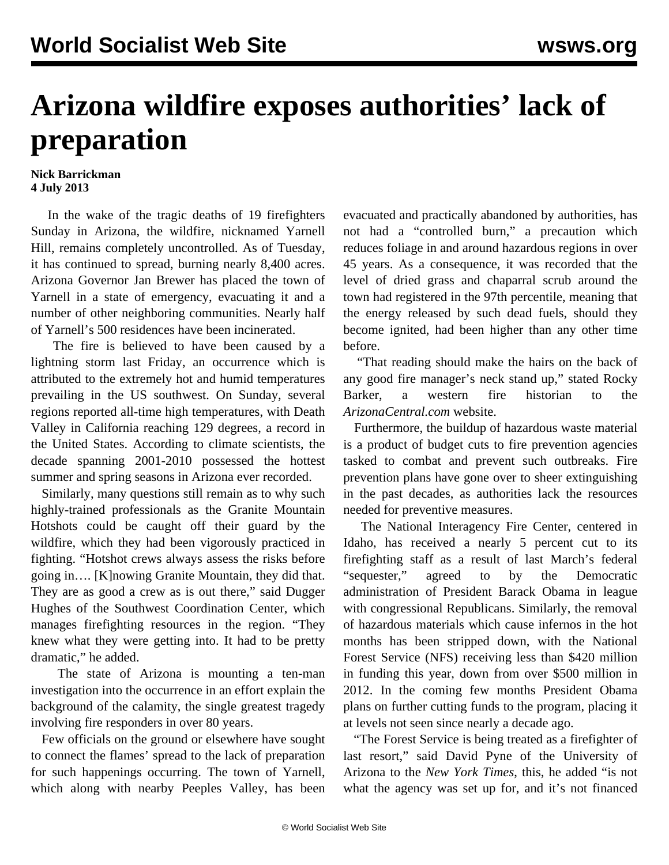## **Arizona wildfire exposes authorities' lack of preparation**

## **Nick Barrickman 4 July 2013**

 In the wake of the tragic deaths of 19 firefighters Sunday in Arizona, the wildfire, nicknamed Yarnell Hill, remains completely uncontrolled. As of Tuesday, it has continued to spread, burning nearly 8,400 acres. Arizona Governor Jan Brewer has placed the town of Yarnell in a state of emergency, evacuating it and a number of other neighboring communities. Nearly half of Yarnell's 500 residences have been incinerated.

 The fire is believed to have been caused by a lightning storm last Friday, an occurrence which is attributed to the extremely hot and humid temperatures prevailing in the US southwest. On Sunday, several regions reported all-time high temperatures, with Death Valley in California reaching 129 degrees, a record in the United States. According to climate scientists, the decade spanning 2001-2010 possessed the hottest summer and spring seasons in Arizona ever recorded.

 Similarly, many questions still remain as to why such highly-trained professionals as the Granite Mountain Hotshots could be caught off their guard by the wildfire, which they had been vigorously practiced in fighting. "Hotshot crews always assess the risks before going in…. [K]nowing Granite Mountain, they did that. They are as good a crew as is out there," said Dugger Hughes of the Southwest Coordination Center, which manages firefighting resources in the region. "They knew what they were getting into. It had to be pretty dramatic," he added.

 The state of Arizona is mounting a ten-man investigation into the occurrence in an effort explain the background of the calamity, the single greatest tragedy involving fire responders in over 80 years.

 Few officials on the ground or elsewhere have sought to connect the flames' spread to the lack of preparation for such happenings occurring. The town of Yarnell, which along with nearby Peeples Valley, has been

evacuated and practically abandoned by authorities, has not had a "controlled burn," a precaution which reduces foliage in and around hazardous regions in over 45 years. As a consequence, it was recorded that the level of dried grass and chaparral scrub around the town had registered in the 97th percentile, meaning that the energy released by such dead fuels, should they become ignited, had been higher than any other time before.

 "That reading should make the hairs on the back of any good fire manager's neck stand up," stated Rocky Barker, a western fire historian to the *ArizonaCentral.com* website.

 Furthermore, the buildup of hazardous waste material is a product of budget cuts to fire prevention agencies tasked to combat and prevent such outbreaks. Fire prevention plans have gone over to sheer extinguishing in the past decades, as authorities lack the resources needed for preventive measures.

 The National Interagency Fire Center, centered in Idaho, has received a nearly 5 percent cut to its firefighting staff as a result of last March's federal "sequester," agreed to by the Democratic administration of President Barack Obama in league with congressional Republicans. Similarly, the removal of hazardous materials which cause infernos in the hot months has been stripped down, with the National Forest Service (NFS) receiving less than \$420 million in funding this year, down from over \$500 million in 2012. In the coming few months President Obama plans on further cutting funds to the program, placing it at levels not seen since nearly a decade ago.

 "The Forest Service is being treated as a firefighter of last resort," said David Pyne of the University of Arizona to the *New York Times*, this, he added "is not what the agency was set up for, and it's not financed